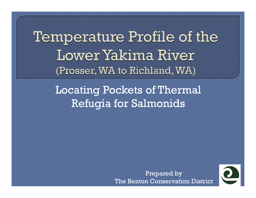Temperature Profile of the Lower Yakima River (Prosser, WA to Richland, WA)

> Locating Pockets of Thermal Refugia for Salmonids

> > Prepared by The Benton Conservation District

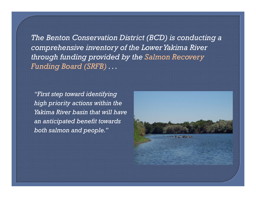*The Benton Conservation District (BCD) is conducting a comprehensive inventory of the Lower Yakima River through funding provided by the Salmon Recovery Funding Board (SRFB) . . .* 

*"First step toward identifying high priority actions within the Yakima River basin that will have an anticipated benefit towards both salmon and people."*

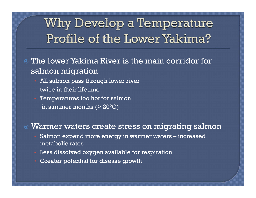### Why Develop a Temperature Profile of the Lower Yakima?

- The lower Yakima River is the main corridor for salmon migration
	- All salmon pass through lower river twice in their lifetime
	- Temperatures too hot for salmon in summer months  $(>20°C)$

#### $\bf \odot$ Warmer waters create stress on migrating salmon

- Salmon expend more energy in warmer waters increased metabolic rates
- Less dissolved oxygen available for respiration
- Greater potential for disease growth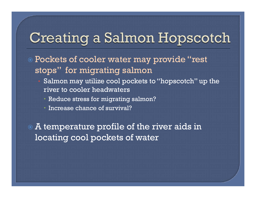## Creating a Salmon Hopscotch

- Pockets of cooler water may provide "rest stops" for migrating salmon
	- Salmon may utilize cool pockets to "hopscotch" up the river to cooler headwaters
		- Reduce stress for migrating salmon?
		- Increase chance of survival?

 A temperature profile of the river aids in locating cool pockets of water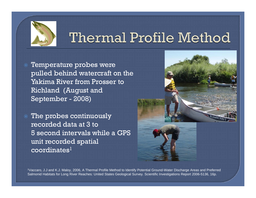

# Thermal Profile Method

- Temperature probes were pulled behind watercraft on the Yakima River from Prosser to Richland (August and September - 2008)
- The probes continuously recorded data at 3 to 5 second intervals while a GPS unit recorded spatial  $coordinates<sup>1</sup>$





1Vaccaro, J.J and K.J. Maloy, 2006, A Thermal Profile Method to Identify Potential Ground-Water Discharge Areas and Preferred Salmonid Habitats for Long River Reaches*:* United States Geological Survey*.* Scientific Investigations Report 2006-5136, 16p.